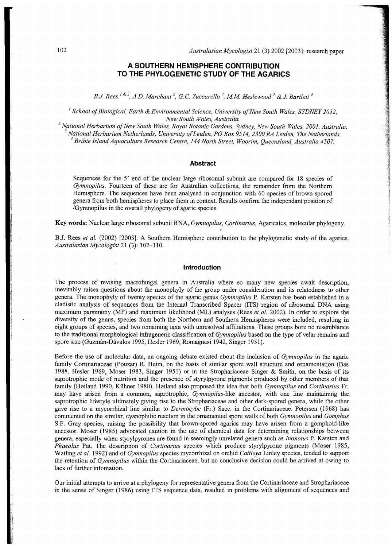# **A SOUTHERN HEMISPHERE CONTRIBUTION TO THE PHYLOGENETIC STUDY OF THE AGARICS**

*B.J. Rees*<sup>*<i>r*</sup>, *A.D. Marchant*<sup>*-*</sup>, *G.C. Zuccarello*  $\dot{\ }$ , *M.M. Heslewood*  $\dot{\ }$  & *J. Bartlett*</sup>

*' School of Biological, Earth & Environmental Science, University of New South Wales, SYDNEY 2052, New South Wales, Australia.* 

*2 National Herbarium of New South Wales, Royal Botanic Gardens, Sydney, New South Wales, 2001, Australia. 3 National Herbarium Netherlands, University of Leiden, PO Box 9514, 2300 RA Leiden, The Netherlands. <sup>4</sup>Bribie Island Aquaculture Research Centre, 144 North Street, Woorim, Queensland, Australia 4507.* 

# **Abstract**

Sequences for the 5' end of the nuclear large ribosomal subunit are compared for 18 species of *Gymnopilus.* Fourteen of these are for Australian collections, the remainder from the Northern Hemisphere. The sequences have been analysed in conjunction with 60 species of brown-spored genera from both hemispheres to place them in context. Results confirm the independant position of /Gymnopilus in the overall phylogeny of agaric species.

**K e y words:** Nuclea r large ribosomal subunit RNA , *Gymnopilus, Cortinarius,* Agaricales, molecular phylogeny.

B.J. Rees *et al.* (2002) [2003]. A Southern Hemisphere contribution to the phylogenetic study of the agarics. *Australasian Mycologist* 21 (3): 102-110 .

### **Introduction**

The process of revising macrofungal genera in Australia where so many new species await description, inevitably raises questions about the monophyly of the group under consideration and its relatedness to other genera. The monophyly of twenty species of the agaric genus *Gymnopilus* P. Karsten has been established in a cladistic analysis of sequences from the Internal Transcribed Spacer (ITS) region of ribosomal DNA using maximum parsimony (MP) and maximum likelihood (ML) analyses (Rees *et al.* 2002). In order to explore the diversity of the genus, species from both the Northern and Southern Hemispheres were included, resulting in eight groups of species, and two remaining taxa with unresolved affiliations. These groups bore no resemblance to the traditional morphological infrageneric classification of *Gymnopilus* based on the type of velar remains and spore size (Guzmán-Dávalos 1995, Hesler 1969, Romagnesi 1942, Singer 1951).

Before the use of molecular data, an ongoing debate existed about the inclusion of *Gymnopilus* in the agaric family Cortinariaceae (Pouzar) R. Heim, on the basis of similar spore wall structure and ornamentation (Bas 1988, Hesler 1969, Moser 1983, Singer 1951) or in the Strophariaceae Singer & Smith, on the basis of its saprotrophic mode of nutrition and the presence of styrylpyrone pigments produced by other members of that family (Høiland 1990, Kühner 1980). Høiland also proposed the idea that both *Gymnopilus* and *Cortinarius* Fr. may have arisen from a common, saprotrophic, *Gymnopilus*-like ancestor, with one line maintaining the saprotrophic lifestyle ultimately giving rise to the Strophariaceae and other dark-spored genera, while the other gave rise to a mycorrhizal line similar to *Dermocybe* (Fr.) Sacc. in the Cortinariaceae. Petersen (1968) has commente d on the similar, cyanophilic reaction in the ornamented spore walls of both *Gymnopilus* and *Gomphus*  S.F. Gray species, raising the possibility that brown-spored agarics may have arisen from a gomphoid-like ancestor. Moser (1985) advocated caution in the use of chemical data for determining relationships between genera, especially when styrylpyrones are found in seemingly unrelated genera such as *Inonotus* P. Karsten and Phaeolus Pat. The description of *Cortinarius* species which produce styrylpyrone pigments (Moser 1985, Watling *et al.* 1992) and of *Gymnopilus* species mycorrhizal on orchid *Cattleya* Linley species, tended to support the retention of *Gymnopilus* within the Cortinariaceae, but no conclusive decision could be arrived at owing to lack of further infomation.

Our initial attempts to arrive at a phylogeny for representative genera from the Cortinariaceae and Strophariaceae in the sense of Singer (1986) using ITS sequence data, resulted in problems with alignment of sequences and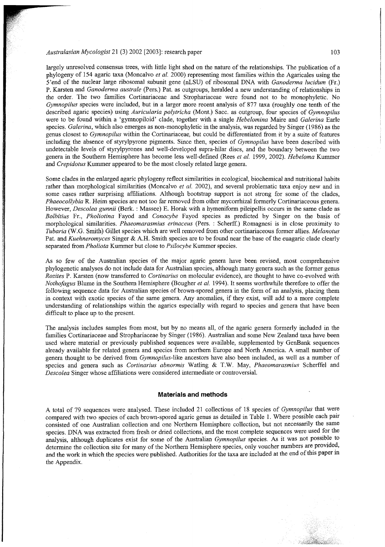largely unresolved consensus trees, with little light shed on the nature of the relationships. The publication of a phylogeny of 154 agaric taxa (Moncalvo *et al.* 2000) representing most families within the Agaricales using the 5'end of the nuclear large ribosomal subunit gene (nLSU) of ribosomal DN A with *Ganoderma lucidum* (Fr.) P. Karsten and *Ganoderma australe* (Pers.) Pat. as outgroups, heralded a new understanding of relationships in the order. The two families Cortinariaceae and Strophariaceae were found not to be monophyletic. No *Gymnopilus* species were included, but in a larger more recent analysis of 877 taxa (roughly one tenth of the described agaric species) using *Auricularia polytricha* (Mont.) Sacc. as outgroup, four species of *Gymnopilus*  were to be found within a 'gymnopiloid' clade, together with a single Hebelomina Maire and Galerina Earle species. *Galerina*, which also emerges as non-monophyletic in the analysis, was regarded by Singer (1986) as the genus closest to *Gymnopilus* within the Cortinariaceae, but could be differentiated from it by a suite of features including the absence of styrylpyrone pigments. Since then, species of *Gymnopilus* have been described with undetectable levels of styrylpyrones and well-developed supra-hilar discs, and the boundary between the two genera in the Southern Hemisphere has become less well-defined (Rees et al. 1999, 2002). *Hebeloma* Kummer and *Crepidotus* Kummer appeared to be the most closely related large genera.

Some clades in the enlarged agaric phylogeny reflect similarities in ecological, biochemical and nutritional habits rather than morphological similarities (Moncalvo et al. 2002), and several problematic taxa enjoy new and in some cases rather surprising affiliations. Although bootstrap support is not strong for some of the clades, *Phaeocollybia* R. Heim species are not too far removed from other mycorrhizal formerly Cortinariaceous genera. However, *Descolea gunnii* (Berk. : Massee) E. Horak with a hymeniform pileipellis occurs in the same clade as Bolbitius Fr., Pholiotina Fayod and Conocybe Fayod species as predicted by Singer on the basis of morphologica l similarities. *Phaeomarasmius erinaceus* (Pers. : Scherff.) Romagnesi is in close proximity to *Tubaria* (W.G. Smith) Gillet species which are well removed from other cortinariaceous former allies. *Melanotus*  Pat. and *Kuehneromyces* Singer & A.H. Smith species are to be found near the base of the euagaric clade clearly separated from *Pholiota* Kummer but close to *Psilocybe* Kummer species.

As so few of the Australian species of the major agaric genera have been revised, most comprehensive phylogenetic analyses do not include data for Australian species, although many genera such as the former genus *Rozites* P. Karsten (now transferred to *Cortinarius* on molecular evidence), are thought to have co-evolved with *Nothofagus* Blume in the Southern Hemisphere (Bougher *et al.* 1994). It seems worthwhile therefore to offer the following sequence data for Australian species of brown-spored genera in the form of an analysis, placing them in context with exotic species of the same genera. Any anomalies, if they exist, will add to a more complete understanding of relationships within the agarics especially with regard to species and genera that have been difficult to place up to the present.

The analysis includes samples from most, but by no means all, of the agaric genera formerly included in the families Cortinariaceae and Strophariaceae by Singer (1986). Australian and some New Zealand taxa have been used where material or previously published sequences were available, supplemented by GenBank sequences already available for related genera and species from northern Europe and North America. A small number of genera thought to be derived from *Gymnopilus*-like ancestors have also been included, as well as a number of species and genera such as *Cortinarius abnormis* Watling & T.W. May, *Phaeomarasmius* Scherffel and *Descolea* Singer whose affiliations were considered intermediate or controversial.

#### **Materials and methods**

A total of 79 sequences were analysed. These included 21 collections of 18 species of *Gymnopilus* that were compared with two species of each brown-spored agaric genus as detailed in Table 1. Where possible each pair consisted of one Australian collection and one Northern Hemisphere collection, but not necessarily the same species. DNA was extracted from fresh or dried collections, and the most complete sequences were used for the analysis, although duplicates exist for some of the Australian *Gymnopilus* species. As it was not possible to determine the collection site for many of the Northern Hemisphere species, only voucher numbers are provided, and the work in which the species were published. Authorities for the taxa are included at the end of this paper in the Appendix.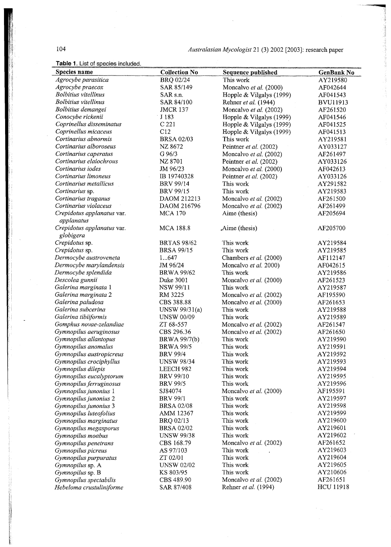104

thiail.

**Communication** 

|  | <b>Table 1.</b> List of species included |  |
|--|------------------------------------------|--|
|  |                                          |  |

| Species name                             | <b>Collection No</b> | <b>Sequence published</b> | <b>GenBank No</b> |
|------------------------------------------|----------------------|---------------------------|-------------------|
| Agrocybe parasitica                      | <b>BRQ 02/24</b>     | This work                 | AY219580          |
| Agrocybe praecox                         | SAR 85/149           | Moncalvo et al. (2000)    | AF042644          |
| <b>Bolbitius</b> vitellinus              | SAR s.n.             | Hopple & Vilgalys (1999)  | AF041543          |
| <b>Bolbitius</b> vitellinus              | SAR 84/100           | Rehner et al. (1944)      | <b>BVU11913</b>   |
| Bolbitius demangei                       | <b>JMCR 137</b>      | Moncalvo et al. (2002)    | AF261520          |
| Conocybe rickenii                        | J 183                | Hopple & Vilgalys (1999)  | AF041546          |
| Coprinellus disseminatus                 | C <sub>221</sub>     | Hopple & Vilgalys (1999)  | AF041525          |
| Coprinellus micaceus                     | C12                  | Hopple & Vilgalys (1999)  | AF041513          |
| Cortinarius abnormis                     | <b>BRSA 02/03</b>    | This work                 | AY219581          |
| Cortinarius alboroseus                   | NZ 8672              | Peintner et al. (2002)    | AY033127          |
| Cortinarius caperatus                    | G 96/3               | Moncalvo et al. (2002)    | AF261497          |
| Cortinarius elaiochrous                  | <b>NZ 8701</b>       | Peintner et al. (2002)    | AY033126          |
| Cortinarius iodes                        | JM 96/23             | Moncalvo et al. (2000)    | AF042613          |
| Cortinarius limoneus                     | IB 19740328          | Peintner et al. (2002)    | AY033126          |
| Cortinarius metallicus                   | <b>BRV 99/14</b>     | This work                 | AY291582          |
| Cortinarius sp.                          | <b>BRV 99/15</b>     | This work                 | AY219583          |
| Cortinarius traganus                     | DAOM 212213          | Moncalvo et al. (2002)    | AF261500          |
| Cortinarius violaceus                    | DAOM 216796          | Moncalvo et al. (2002)    | AF261499          |
| Crepidotus applanatus var.<br>applanatus | <b>MCA 170</b>       | Aime (thesis)             | AF205694          |
| Crepidotus applanatus var.               | <b>MCA 188.8</b>     | Aime (thesis)             | AF205700          |
| globigera                                |                      |                           |                   |
| Crepidotus sp.                           | <b>BRTAS 98/62</b>   | This work                 | AY219584          |
| Crepidotus sp.                           | <b>BRSA 99/15</b>    | This work                 | AY219585          |
| Dermocybe austroveneta                   | 1647                 | Chambers et al. (2000)    | AF112147          |
| Dermocybe marylandensis                  | JM 96/24             | Moncalvo et al. 2000)     | AF042615          |
| Dermocybe splendida                      | <b>BRWA 99/62</b>    | This work                 | AY219586          |
| Descolea gunnii                          | Duke 3001            | Moncalvo et al. (2000)    | AF261523          |
| Galerina marginata 1                     | <b>NSW 99/11</b>     | This work                 | AY219587          |
| Galerina marginata 2                     | RM 3225              | Moncalvo et al. (2002)    | AF195590          |
| Galerina paludosa                        | CBS 388.88           | Moncalvo et al. (2000)    | AF261653          |
| Galerina subcerina                       | UNSW 99/31(a)        | This work                 | AY219588          |
| Galerina tibiiformis                     | <b>UNSW 00/09</b>    | This work                 | AY219589          |
| Gomphus novae-zelandiae                  | ZT 68-557            | Moncalvo et al. (2002)    | AF261547          |
| Gymnopilus aeruginosus                   | CBS 296.36           | Moncalvo et al. (2002)    | AF261650          |
| Gymnopilus allantopus                    | BRWA 99/7(b)         | This work                 | AY219590          |
| Gymnopilus anomalus                      | <b>BRWA 99/5</b>     | This work                 | AY219591          |
| Gymnopilus austropicreus                 | <b>BRV 99/4</b>      | This work                 | AY219592          |
| Gymnopilus crociphyllus                  | <b>UNSW 98/34</b>    | This work                 | AY219593          |
| Gymnopilus dilepis                       | LEECH 982            | This work                 | AY219594          |
| Gymnopilus eucalyptorum                  | <b>BRV 99/10</b>     | This work                 | AY219595          |
| Gymnopilus ferruginosus                  | <b>BRV 99/5</b>      | This work                 | AY219596          |
| Gymnopilus junonius 1                    | SJ84074              | Moncalvo et al. (2000)    | AF195591          |
| Gymnopilus junonius 2                    | <b>BRV 99/1</b>      | This work                 | AY219597          |
| Gymnopilus junonius 3                    | <b>BRSA 02/08</b>    | This work                 | AY219598          |
| Gymnopilus luteofolius                   | AMM 12367            | This work                 | AY219599          |
| Gymnopilus marginatus                    | BRQ 02/13            | This work                 | AY219600          |
| Gymnopilus megasporus                    | <b>BRSA 02/02</b>    | This work                 | AY219601          |
| Gymnopilus moabus                        | <b>UNSW 99/38</b>    | This work                 | AY219602          |
| Gymnopilus penetrans                     | CBS 168.79           | Moncalvo et al. (2002)    | AF261652          |
| Gymnopilus picreus                       | AS 97/103            | This work                 | AY219603          |
| Gymnopilus purpuratus                    | ZT 02/01             | This work                 | AY219604          |
| Gymnopilus sp. A                         | <b>UNSW 02/02</b>    | This work                 | AY219605          |
| Gymnopilus sp. B                         | KS 803/95            | This work                 | AY210606          |
| Gymnopilus spectabilis                   | CBS 489.90           | Moncalvo et al. (2002)    | AF261651          |
| Hebeloma crustuliniforme                 | SAR 87/408           | Rehner et al. (1994)      | <b>HCU 11918</b>  |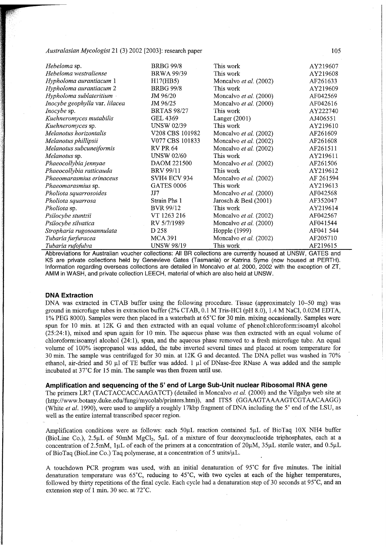| Hebeloma sp.                   | <b>BRBG 99/8</b>    | This work               | AY219607  |
|--------------------------------|---------------------|-------------------------|-----------|
| Hebeloma westraliense          | <b>BRWA 99/39</b>   | This work               | AY219608  |
| Hypholoma aurantiacum 1        | H17(HB5)            | Moncalvo et al. (2002)  | AF261633  |
| Hypholoma aurantiacum 2        | <b>BRBG 99/8</b>    | This work               | AY219609  |
| Hypholoma sublateritium        | JM 96/20            | Moncalvo et al. (2000)  | AF042569  |
| Inocybe geophylla var. lilacea | JM 96/25            | Moncalvo et al. (2000)  | AF042616  |
| Inocybe sp.                    | <b>BRTAS 98/27</b>  | This work               | AY222740  |
| Kuehneromyces mutabilis        | <b>GEL 4369</b>     | Langer $(2001)$         | AJ406551  |
| Kuehneromyces sp.              | <b>UNSW 02/39</b>   | This work               | AY219610  |
| Melanotus horizontalis         | V208 CBS 101982     | Moncalvo et al. (2002)  | AF261609  |
| Melanotus phillipsii           | V077 CBS 101833     | Moncalvo et al. (2002)  | AF261608  |
| Melanotus subcuneiformis       | <b>RV PR 64</b>     | Moncalvo et al. (2002)  | AF261511  |
| Melanotus sp.                  | <b>UNSW 02/60</b>   | This work               | AY219611  |
| Phaeocollybia jennyae          | DAOM 221500         | Moncalvo et al. (2002)  | AF261506  |
| Phaeocollybia ratticauda       | <b>BRV 99/11</b>    | This work               | AY219612  |
| Phaeomarasmius erinaceus       | <b>SVH4 ECV 934</b> | Moncalvo et al. (2002)  | AF 261594 |
| Phaeomarasmius sp.             | <b>GATES 0006</b>   | This work               | AY219613  |
| Pholiota squarrosoides         | JJ7                 | Moncalvo et al. (2000)  | AF042568  |
| Pholiota squarrosa             | Strain Phs 1        | Jarosch & Besl $(2001)$ | AF352047  |
| Pholiota sp.                   | <b>BVR 99/12</b>    | This work               | AY219614  |
| Psilocybe stuntzii             | VT 1263 216         | Moncalvo et al. (2002)  | AF042567  |
| Psilocybe silvatica            | RV 5/7/1989         | Moncalvo et al. (2000)  | AF041544  |
| Stropharia rugosoannulata      | D 258               | Hopple (1999)           | AF041 544 |
| Tubaria furfuracea             | <b>MCA 391</b>      | Moncalvo et al. (2002)  | AF205710  |
| Tubaria rufofulva              | <b>UNSW 98/19</b>   | This work               | AF219615  |

Abbreviations for Australian voucher collections: All BR collections are currently housed at UNSW, GATES and KS are private collections held by Genevieve Gates (Tasmania) or Katrina Syme (now housed at PERTH). Information regarding overseas collections are detailed in Moncalvo et al. 2000, 2002 with the exception of ZT, AMM in WASH, and private collection LEECH, material of which are also held at UNSW.

## **DNA Extraction**

DNA was extracted in CTAB buffer using the following procedure. Tissue (approximately  $10-50$  mg) was ground in microfuge tubes in extraction buffer (2% CTAB, 0.1 M Tris-HCl (pH 8.0), 1.4 M NaCl, 0.02M EDTA, 1% PEG 8000). Samples were then placed in a waterbath at  $65^{\circ}$ C for 30 min. mixing occasionally. Samples were spun for 10 min. at 12K G and then extracted with an equal volume of phenol:chloroform:isoamyl alcohol  $(25:24:1)$ , mixed and spun again for 10 min. The aqueous phase was then extracted with an equal volume of chloroform:isoamyl alcohol (24:1), spun, and the aqueous phase removed to a fresh microfuge tube. An equal volume of 100% isopropanol was added, the tube inverted several times and placed at room temperature for 30 min. The sample was centrifuged for 30 min. at 12K G and decanted. The DNA pellet was washed in 70% ethanol, air-dried and 50  $\mu$ l of TE buffer was added. 1  $\mu$ l of DNase-free RNase A was added and the sample incubated at 37°C for 15 min. The sample was then frozen until use.

### Amplification and sequencing of the 5' end of Large Sub-Unit nuclear Ribosomal RNA gene

The primers LR7 (TACTACCACCAAGATCT) (detailed in Moncalvo *et al.* (2000) and the Vilgalys web site at ([http://www.botany.duke.edu/fungi/mycolab/printers.htm\)](http://www.botany.duke.edu/fungi/mycolab/printers.htm)), and ITS5 (GGAAGTAAAAGTCGTAACAAGG) (White et al. 1990), were used to amplify a roughly 17kbp fragment of DNA including the 5' end of the LSU, as well as the entire internal transcribed spacer region.

Amplification conditions were as follows: each 50µL reaction contained 5µL of BioTaq 10X NH4 buffer (BioLine Co.), 2.5µL of 50mM MgCl<sub>2</sub>, 5µL of a mixture of four deoxynucleotide triphosphates, each at a concentration of 2.5mM, luL of each of the primers at a concentration of  $20\mu$ M,  $35\mu$ L sterile water, and  $0.5\mu$ L of BioTaq (BioLine Co.) Taq polymerase, at a concentration of 5 units/ $\mu$ L.

A touchdown PCR program was used, with an initial denaturation of 95°C for five minutes. The initial denaturation temperature was 65°C, reducing to 45°C, with two cycles at each of the higher temperatures, followed by thirty repetitions of the final cycle. Each cycle had a denaturation step of 30 seconds at 95°C, and an extension step of 1 min. 30 sec. at 72°C.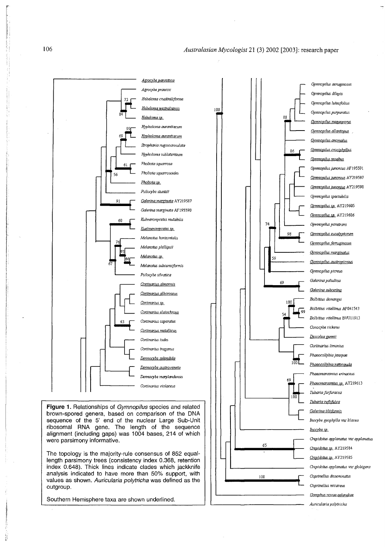**(55** 

*Crepidotus applanatus* **var** *applanatus* 

*Crepidotus sp.* **AY21958 4**  *Crepidotus sp.* **AY21958 5**  *Crepidotus applanatus* **var** *globigera* 

*Coprinellus disseminatus Coprinellus micaceus Gomphus novae-zelandiae Auricularia polytricha* 

**100** 



ribosomal RNA gene. The length of the sequence alignment (including gaps) was 1004 bases, 214 of which were parsimony informative.

The topology is the majority-rule consensus of 852 equallength parsimony trees (consistency index 0.368, retention index 0.648). Thick lines indicate clades which jackknife analysis indicated to have more than 50% support, with values as shown. Auricularia polytricha was defined as the outgroup.

Southern Hemisphere taxa are shown underlined.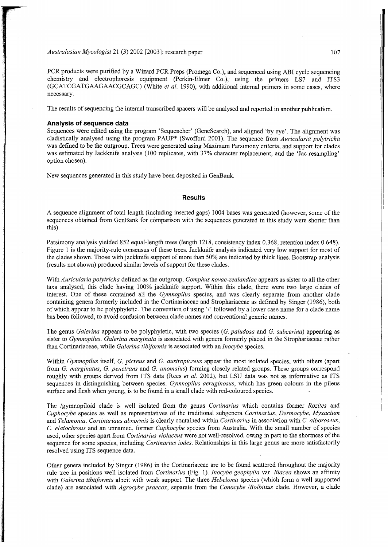PCR products were purified by a Wizard PCR Preps (Promega Co.), and sequenced using ABI cycle sequencing chemistry and electrophoresis equipment (Perkin-Elmer Co.), using the primers LS7 and ITS3 (GCATCGATGAAGAACGCAGC) (White et al. 1990), with additional internal primers in some cases, where necessary.

The results of sequencing the internal transcribed spacers will be analysed and reported in another publication.

#### **Analysis of sequenc e data**

Sequences were edited using the program 'Sequencher' (GeneSearch), and aligned 'by eye'. The alignment was cladistically analysed using the program PAUP<sup>\*</sup> (Swofford 2001). The sequence from *Auricularia polytricha* was defined to be the outgroup. Trees were generated using Maximum Parsimony criteria, and support for clades was estimated by Jackknife analysis (100 replicates, with 37% character replacement, and the 'Jac resampling' option chosen).

New sequences generated in this study have been deposited in GenBank.

#### **Results**

A sequenc e alignment of total length (including inserted gaps) 1004 bases was generated (however, some of the sequences obtained from GenBank for comparison with the sequences generated in this study were shorter than this).

Parsimony analysis yielded 852 equal-length trees (length 1218, consistency index 0.368, retention index 0.648). Figure 1 is the majority-rule consensus of these trees. Jackknife analysis indicated very low support for most of the clades shown. Those with jackknife support of more than 50% are indicated by thick lines. Bootstrap analysis (results not shown) produced similar levels of support for these clades.

With *Auricularia polytricha* defined as the outgroup, *Gomphus novae-zealandiae* appears as sister to all the other taxa analysed, this clade having 100% jackknife support. Within this clade, there were two large clades of interest. One of these contained all the *Gymnopilus* species, and was clearly separate from another clade containing genera formerly included in the Cortinariaceae and Strophariaceae as defined by Singer (1986), both of which appear to be polyphyletic. The convention of using '/' followed by a lower case name for a clade name has been followed, to avoid confusion between clade names and conventional generic names.

The genus *Galerina* appears to be polyphyletic, with two species (*G. paludosa* and *G. subcerina*) appearing as sister to *Gymnopilus. Galerina marginata* is associated with genera formerly placed in the Strophariaceae rather than Cortinariaceae, while *Galerina tibiformis* is associated with an *Inocybe* species.

Within *Gymnopilus* itself, *G. picreus* and *G. austropicreus* appear the most isolated species, with others (apart from *G. marginatus, G. penetrans* and *G. anomalus*) forming closely related groups. These groups correspond roughly with groups derived from ITS data (Rees *et al.* 2002), but LSU data was not as informative as ITS sequences in distinguishing between species. *Gymnopilus aeruginosus,* which has green colours in the pileus surface and flesh when young, is to be found in a small clade with red-coloured species.

The /gymnopiloid clade is well isolated from the genus Cortinarius which contains former *Rozites* and *Cuphocybe* species as well as representatives of the traditional subgenera *Cortinarius, Dermocybe, Myxacium*  and *Telamonia. Cortinariaus abnormis* is clearly contained within *Cortinarius* in association with *C. alboroseus, C. elaiochrous* and an unnamed, former *Cuphocybe* species from Australia. With the small number of species used, other species apart from *Cortinarius violaceus* were not well-resolved, owing in part to the shortness of the sequence for some species, including *Cortinarius iodes*. Relationships in this large genus are more satisfactorily resolved using ITS sequence data.

Other genera included by Singer (1986) in the Cortinariaceae are to be found scattered throughout the majority rule tree in positions well isolated from *Cortinarius* (Fig. 1). *Inocybe geophylla* var. *lilacea* shows an affinity with *Galerina tibiiformis* albeit with weak support. The three *Hebeloma* species (which form a well-supported clade) are associated with *Agrocybe praecox,* separate from the *Conocybe IBolbitius* clade. However, a clade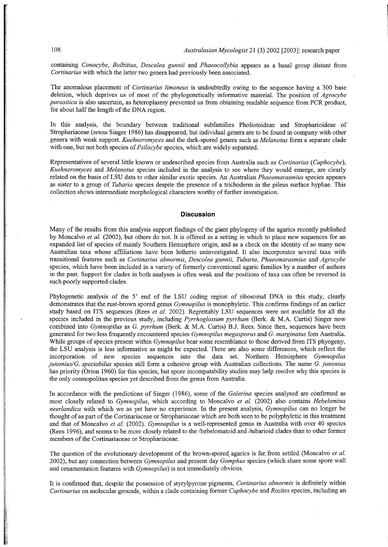containing *Conocybe, Bolbitius, Descolea gunnii* and *Phaeocollybia* appears as a basal group distant from *Cortinarius* with which the latter two genera had previously been associated.

The anomalous placement of *Cortinarius limoneus* is undoubtedly owing to the sequence having a 300 base deletion, which deprives us of most of the phylogenetically informative material. The position of *Agrocybe parasitica* is also uncertain, as heteroplasmy prevented us from obtaining readable sequence from PCR product, for about half the length of the DNA region.

In this analysis, the boundary between traditional subfamilies Pholiotoideae and Stropharioideae of Strophariaceae (sensu Singer 1986) has disappeared, but individual genera are to be found in company with other genera with weak support. *Kuehneromyces* and the dark-spored genera such as *Melanotus* form a separate clade with one, but not both species of *Psilocybe* species, which are widely separated.

Representatives of several little known or undescribed species from Australia such as *Cortinarius (Cuphocybe), Kuehneromyces* and *Melanotus* species included in the analysis to see where they would emerge, are clearly related on the basis of LS U data to other similar exotic species. An Australian *Phaeomarasmius* species appears as sister to a group of *Tubaria* species despite the presence of a trichoderm in the pileus surface hyphae . This collection shows intermediate morphological characters worthy of further investigation.

### **Discussion**

Many of the results from this analysis support findings of the giant phylogeny of the agarics recently published by Moncalvo *et al.* (2002), but others do not. It is offered as a setting in which to place new sequences for an expanded list of species of mainly Southern Hemisphere origin, and as a check on the identity of so many new Australian taxa whose affiliations have been hitherto uninvestigated. It also incorporates several taxa with transitional features such as *Cortinarius abnormis, Descolea gunnii, Tubaria, Phaeomarasmius* and *Agrocybe*  species, which have been included in a variety of formerly conventional agaric families by a number of authors in the past. Support for clades in both analyses is often weak and the positions of taxa can often be reversed in such poorly supported clades.

Phylogenetic analysis of the 5' end of the LSU coding region of ribosomal DNA in this study, clearly demonstrates that the rust-brown spored genus *Gymnopilus* is monophyletic. This confirms findings of an earlier study based on ITS sequences (Rees et al. 2002). Regrettably LSU sequences were not available for all the species included in the previous study, including *Pyrrhoglossum pyrrhum* (Berk. & M.A. Curtis) Singer now combined into *Gymnopilus* as *G. pyrrhum* (Berk. & M.A. Curtis) B.J. Rees. Since then, sequences have been generated for two less frequently encountered species *Gymnopilus megasporus* and *G. marginatus* fom Australia. While groups of species present within *Gymnopilus* bear some resemblance to those derived from ITS phyogeny, the LSU analysis is less informative as might be expected. There are also some differences, which reflect the incorporation of new species sequences into the data set. Northern Hemisphere *Gymnopilus junonius/G. spectabilus* species still form a cohesive group with Australian collections. The name G. junonius has priority (Orton 1960) for this species, but spore incompatability studies may help resolve why this species is the only cosmopolitan species yet described from the genus from Australia.

In accordance with the predictions of Singer (1986), some of the *Galerina* species analysed are confirmed as most closely related to *Gymnopilus,* which according to Moncalvo *et al.* (2002) also contains *Hebelomina neerlandica* with which we as yet have no experience. In the present analysis, *Gymnopilus* can no longer be thought of as part of the Cortinariaceae or Strophariaceae which are both seen to be polyphyletic in this treatment and that of Moncalvo et al. (2002). *Gymnopilus* is a well-represented genus in Australia with over 40 species (Rees 1996), and seems to be more closely related to the /hebelomatoid and /tubarioid clades than to other former members of the Cortinariaceae or Strophariaceae.

The question of the evolutionary development of the brown-spored agarics is far from settled (Moncalvo *et al.* 2002), but any connection between *Gymnopilus* and present day *Gomphus* species (which share some spore wall and ornamentation features with *Gymnopilus)* is not immediately obvious.

It is confirmed that, despite the possession of styrylpyrone pigments, *Cortinarius abnormis* is definitely within *Cortinarius* on molecular grounds, within a clade containing former *Cuphocybe* and *Rozites* species, including an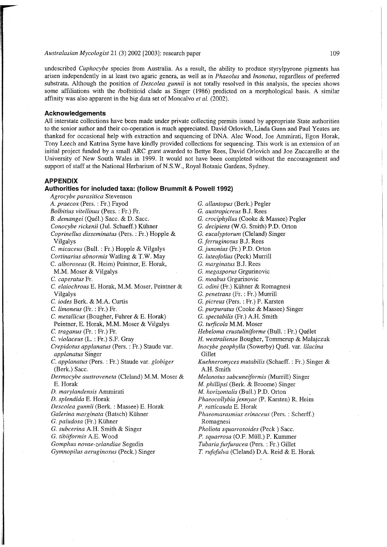undescribed *Cuphocybe* species from Australia. As a result, the ability to produce styrylpyrone pigments has arisen independently in at least two agaric genera, as well as in *Phaeolus* and *Inonotus,* regardless of preferred substrata. Although the position of *Descolea gunnii* is not totally resolved in this analysis, the species shows some affiliations with the /bolbitioid clade as Singer (1986) predicted on a morphological basis. A similar affinity wa s also apparent in the big data set of Moncalvo *et al.* (2002).

## **Acknowledgement s**

All interstate collections have been made under private collecting permits issued by appropriate State authorities to the senior author and their co-operation is much appreciated. David Orlovich, Linda Gunn and Paul Yeates are thanked for occasional help with extraction and sequencing of DNA. Alec Wood, Joe Ammirati, Egon Horak, Tony Leech and Katrina Syme have kindly provided collections for sequencing. This work is an extension of an initial project funded by a small ARC grant awarded to Bettye Rees, David Orlovich and Joe Zuccarello at the University of New South Wales in 1999. It would not have been completed without the encouragement and support of staff at the National Herbarium of N.S.W., Royal Botanic Gardens, Sydney.

### **APPENDIX**

#### **Authorities for included taxa: (follow Brummit & Powell 1992)**

*Agrocybe parasitica* Stevenson *A. praecox* (Pers. : Fr.) Fayod *Bolbitius vitellinus* (Pers. : Fr.) Fr. *B. demangei* (Quel.) Sacc . & D. Sacc. Conocybe rickenii (Jul. Schaeff.) Kühner *Coprinellus disseminatus* (Pers. : Fr.) Hopple & Vilgalys *C. micaceus* (Bull. : Fr.) Hopple & Vilgalys *Cortinarius abnormis* Watling & T.W. May C. *alboroseus* (R. Heim) Peintner, E. Horak, M.M. Moser & Vilgalys C. *caperatus* Fr. *C. elaiochrous* E. Horak, M.M. Moser, Peintner & Vilgalys C. *iodes* Berk. & M.A. Curtis C. *limoneus* (Fr. : Fr.) Fr. *C. metallicus* (Bougher, Fuhrer & E. Horak) Peintner, E. Horak, M.M. Moser & Vilgalys C. *traganus* (Fr. : Fr.) Fr. *C. violaceus* (L. : Fr.) S.F. Gray *Crepidotus applanatus* (Pers.: Fr.) Staude var. *applanatus* Singer *C. applanatus* (Pers. : Fr.) Staude var. *globiger*  (Berk.) Sacc . *Dermocybe austroveneta* (Cleland) M.M. Moser & E. Horak *D. marylandensis* Ammirati *D. splendida* E. Horak *Descolea gunnii* (Berk. : Massee ) E. Horak *Galerina marginata* (Batsch) Kuhner *G. paludosa* (Fr.) Kühner *G. subcerina* A.H. Smith & Singer *G. tibiiformis* A.E. Woo d *Gomphus novae-zelandiae* Segedin *Gymnopilus aemginosus* (Peck.) Singer

*G. allantopus* (Berk.) Pegler *G. austropicreus* B.J. Rees *G. crociphyllus* (Cooke & Massee ) Pegler G. *decipiens* (W.G. Smith) P.D. Orton G. *eucalyptorum* (Cleland) Singer *G. ferruginosus* B.J. Rees G. *junonius* (Fr.) P.D. Orton G. *luteofolius* (Peck) Murrill *G. marginatus* B.J. Rees G. *megasporus* Grgurinovic G. *moabus* Grgurinovic G. *odini* (Fr.) Kuhner & Romagnesi G. *penetrans* (Fr. : Fr.) Murrill G. *picreus* (Pers. : Fr.) P. Karsten G. purpuratus (Cooke & Massee) Singer G. *spectabilis* (Fr.) A.H. Smith G. turficola M.M. Moser *Hebeloma crustuliniforme* (Bull. : Fr.) Quelet *H. westraliense* Bougher, Tommerup & Malajczuk *Inocybe geophylla* (Sowerby) Quel. var. *lilacina*  Gillet *Kuehneromyces mutabilis* (Schaeff. : Fr.) Singer & A.H. Smith *Melanotus subcuneiformis* (Murrill) Singer *M. phillipsi* (Berk. & Broome) Singer *M. horizontalis* (Bull.) P.D. Orton *Phaeocollybia jennyae* (P. Karsten) R. Heim *P. ratticauda* E. Horak *Phaeomarasmius erinaceus* (Pers. : Scherff.) Romagnesi *Pholiota squarrosoides* (Peck ) Sacc. P. squarrosa (O.F. Müll.) P. Kummer *Tubaria furfuracea* (Pers. : Fr.) Gillet *T. rufofulva* (Cleland) D.A. Reid & E. Horak